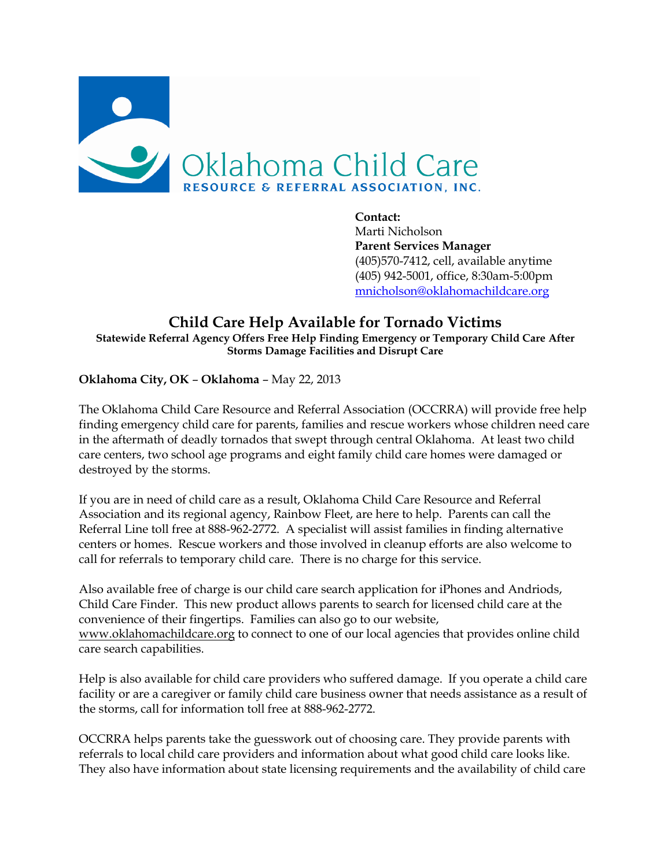

**Contact:** Marti Nicholson **Parent Services Manager** (405)570-7412, cell, available anytime (405) 942-5001, office, 8:30am-5:00pm [mnicholson@oklahomachildcare.org](mailto:mnicholson@oklahomachildcare.org)

#### **Child Care Help Available for Tornado Victims Statewide Referral Agency Offers Free Help Finding Emergency or Temporary Child Care After Storms Damage Facilities and Disrupt Care**

**Oklahoma City, OK** – **Oklahoma** – May 22, 2013

The Oklahoma Child Care Resource and Referral Association (OCCRRA) will provide free help finding emergency child care for parents, families and rescue workers whose children need care in the aftermath of deadly tornados that swept through central Oklahoma. At least two child care centers, two school age programs and eight family child care homes were damaged or destroyed by the storms.

If you are in need of child care as a result, Oklahoma Child Care Resource and Referral Association and its regional agency, Rainbow Fleet, are here to help. Parents can call the Referral Line toll free at 888-962-2772. A specialist will assist families in finding alternative centers or homes. Rescue workers and those involved in cleanup efforts are also welcome to call for referrals to temporary child care. There is no charge for this service.

Also available free of charge is our child care search application for iPhones and Andriods, Child Care Finder. This new product allows parents to search for licensed child care at the convenience of their fingertips. Families can also go to our website, [www.oklahomachildcare.org](http://www.oklahomachildcare.org/) to connect to one of our local agencies that provides online child care search capabilities.

Help is also available for child care providers who suffered damage. If you operate a child care facility or are a caregiver or family child care business owner that needs assistance as a result of the storms, call for information toll free at 888-962-2772.

OCCRRA helps parents take the guesswork out of choosing care. They provide parents with referrals to local child care providers and information about what good child care looks like. They also have information about state licensing requirements and the availability of child care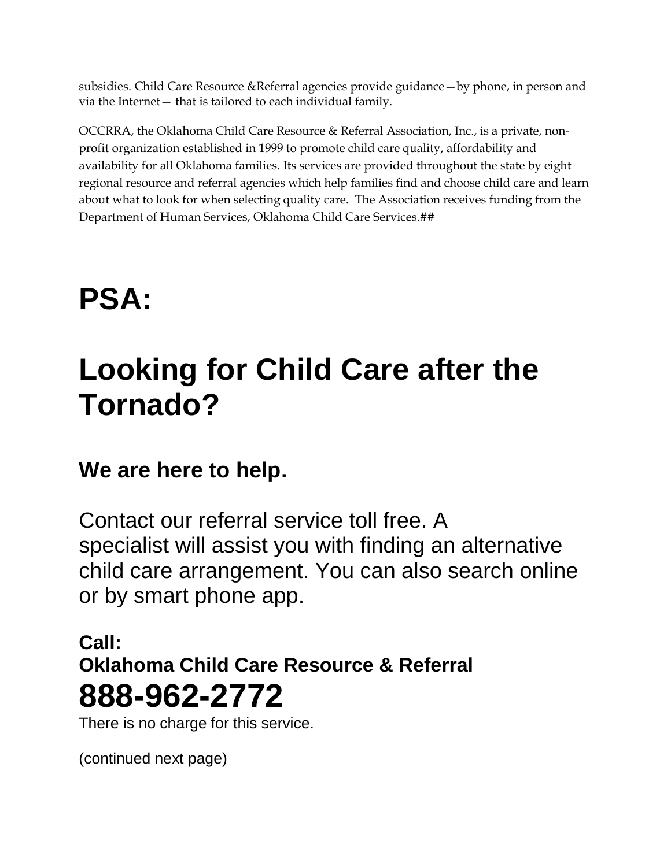subsidies. Child Care Resource &Referral agencies provide guidance—by phone, in person and via the Internet— that is tailored to each individual family.

OCCRRA, the Oklahoma Child Care Resource & Referral Association, Inc., is a private, nonprofit organization established in 1999 to promote child care quality, affordability and availability for all Oklahoma families. Its services are provided throughout the state by eight regional resource and referral agencies which help families find and choose child care and learn about what to look for when selecting quality care. The Association receives funding from the Department of Human Services, Oklahoma Child Care Services.##

# **PSA:**

## **Looking for Child Care after the Tornado?**

#### **We are here to help.**

Contact our referral service toll free. A specialist will assist you with finding an alternative child care arrangement. You can also search online or by smart phone app.

#### **Call: Oklahoma Child Care Resource & Referral 888-962-2772**

There is no charge for this service.

(continued next page)